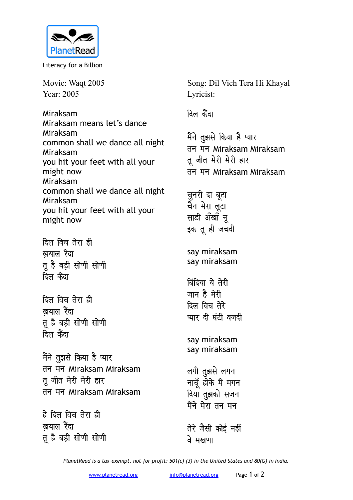

Literacy for a Billion

Movie: Waqt 2005 Year: 2005

Miraksam Miraksam means let's dance Miraksam common shall we dance all night Miraksam you hit your feet with all your might now Miraksam common shall we dance all night Miraksam you hit your feet with all your might now

<u>दिल विच तेरा ही</u> **खयाल** रैंदा तू है बड़ी सोणी सोणी <u>दिल के</u>ंदा

*दिल विच तेरा ही* **खयाल** रैंदा तू है बड़ी सोणी सोणी <u>दिल कैंदा</u>

मैंने तुझसे किया है प्यार **ru eu** Miraksam Miraksam त जीत मेरी मेरी हार **ru eu** Miraksam Miraksam

**gs fny fop rsjk gh खयाल** रैंदा तू है बड़ी सोणी सोणी Song: Dil Vich Tera Hi Khayal Lyricist:

<u>दिल कैंदा</u>

मैंने <u>त</u>ुझसे किया है प्यार **ru eu** Miraksam Miraksam तू जीत मेरी मेरी हार **ru eu** Miraksam Miraksam

चुनरी दा ब<mark>ू</mark>टा चैन मेरा लूटा साडी अँखाँ नू इक तू ही जचदी

say miraksam say miraksam

<u>बिंदिया</u> ये तेरी जान है मेरी **दिल विच तेरे** प्यार दी घंटी वजदी

say miraksam say miraksam

लगी तुझसे लगन **नाचूँ होके मैं मगन दिया तुझको सजन** मैंने मेरा तन मन

तेरे जैसी कोई नहीं <u>वे मखणा</u>

*PlanetRead is a tax-exempt, not-for-profit: 501(c) (3) in the United States and 80(G) in India.*